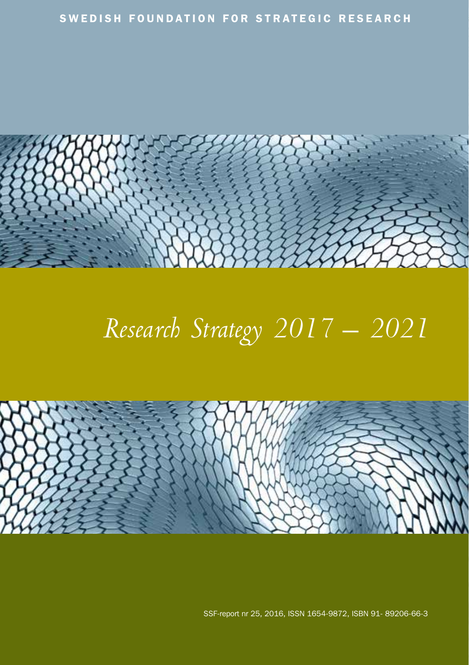

## *Research Strategy 2017 – 2021*



SSF-report nr 25, 2016, ISSN 1654-9872, ISBN 91- 89206-66-3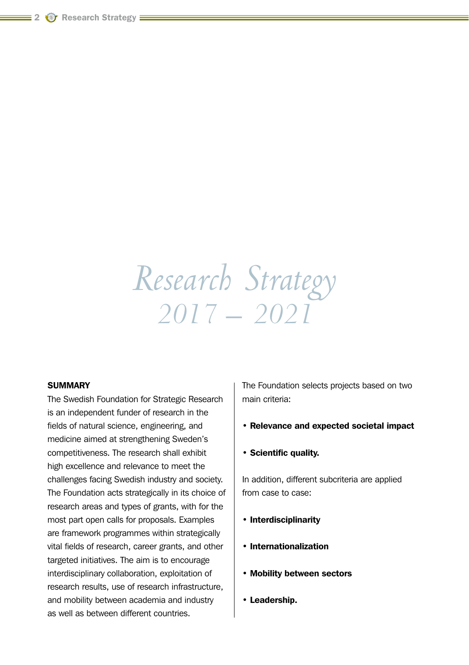## *Research Strategy 2017 – 2021*

#### **SUMMARY**

The Swedish Foundation for Strategic Research is an independent funder of research in the fields of natural science, engineering, and medicine aimed at strengthening Sweden's competitiveness. The research shall exhibit high excellence and relevance to meet the challenges facing Swedish industry and society. The Foundation acts strategically in its choice of research areas and types of grants, with for the most part open calls for proposals. Examples are framework programmes within strategically vital fields of research, career grants, and other targeted initiatives. The aim is to encourage interdisciplinary collaboration, exploitation of research results, use of research infrastructure, and mobility between academia and industry as well as between different countries.

The Foundation selects projects based on two main criteria:

- Relevance and expected societal impact
- Scientific quality.

In addition, different subcriteria are applied from case to case:

- Interdisciplinarity
- Internationalization
- Mobility between sectors
- Leadership.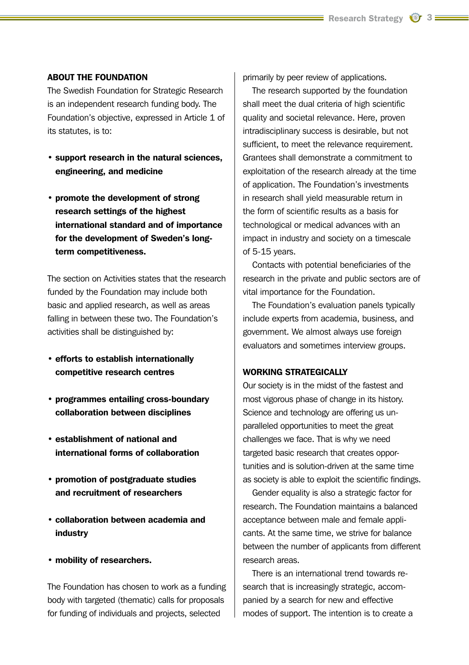#### ABOUT THE FOUNDATION

The Swedish Foundation for Strategic Research is an independent research funding body. The Foundation's objective, expressed in Article 1 of its statutes, is to:

- support research in the natural sciences, engineering, and medicine
- promote the development of strong research settings of the highest international standard and of importance for the development of Sweden's longterm competitiveness.

The section on Activities states that the research funded by the Foundation may include both basic and applied research, as well as areas falling in between these two. The Foundation's activities shall be distinguished by:

- efforts to establish internationally competitive research centres
- programmes entailing cross-boundary collaboration between disciplines
- establishment of national and international forms of collaboration
- promotion of postgraduate studies and recruitment of researchers
- collaboration between academia and industry
- mobility of researchers.

The Foundation has chosen to work as a funding body with targeted (thematic) calls for proposals for funding of individuals and projects, selected

primarily by peer review of applications.

The research supported by the foundation shall meet the dual criteria of high scientific quality and societal relevance. Here, proven intradisciplinary success is desirable, but not sufficient, to meet the relevance requirement. Grantees shall demonstrate a commitment to exploitation of the research already at the time of application. The Foundation's investments in research shall yield measurable return in the form of scientific results as a basis for technological or medical advances with an impact in industry and society on a timescale of 5-15 years.

Contacts with potential beneficiaries of the research in the private and public sectors are of vital importance for the Foundation.

The Foundation's evaluation panels typically include experts from academia, business, and government. We almost always use foreign evaluators and sometimes interview groups.

#### WORKING STRATFGICALLY

Our society is in the midst of the fastest and most vigorous phase of change in its history. Science and technology are offering us unparalleled opportunities to meet the great challenges we face. That is why we need targeted basic research that creates opportunities and is solution-driven at the same time as society is able to exploit the scientific findings.

Gender equality is also a strategic factor for research. The Foundation maintains a balanced acceptance between male and female applicants. At the same time, we strive for balance between the number of applicants from different research areas.

There is an international trend towards research that is increasingly strategic, accompanied by a search for new and effective modes of support. The intention is to create a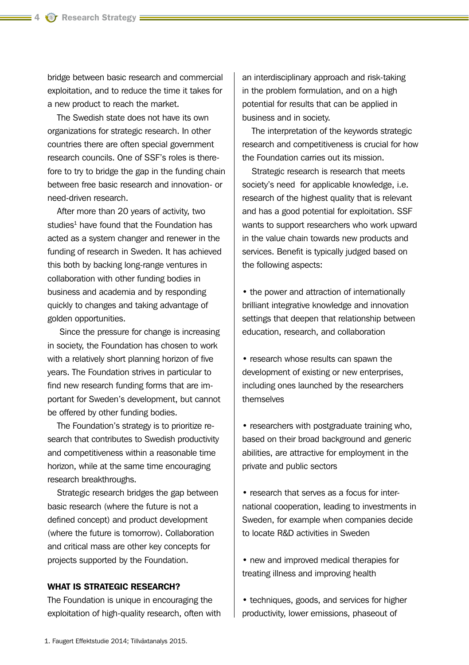bridge between basic research and commercial exploitation, and to reduce the time it takes for a new product to reach the market.

The Swedish state does not have its own organizations for strategic research. In other countries there are often special government research councils. One of SSF's roles is therefore to try to bridge the gap in the funding chain between free basic research and innovation- or need-driven research.

After more than 20 years of activity, two studies<sup>1</sup> have found that the Foundation has acted as a system changer and renewer in the funding of research in Sweden. It has achieved this both by backing long-range ventures in collaboration with other funding bodies in business and academia and by responding quickly to changes and taking advantage of golden opportunities.

 Since the pressure for change is increasing in society, the Foundation has chosen to work with a relatively short planning horizon of five years. The Foundation strives in particular to find new research funding forms that are important for Sweden's development, but cannot be offered by other funding bodies.

The Foundation's strategy is to prioritize research that contributes to Swedish productivity and competitiveness within a reasonable time horizon, while at the same time encouraging research breakthroughs.

Strategic research bridges the gap between basic research (where the future is not a defined concept) and product development (where the future is tomorrow). Collaboration and critical mass are other key concepts for projects supported by the Foundation.

## WHAT IS STRATEGIC RESEARCH?

The Foundation is unique in encouraging the exploitation of high-quality research, often with an interdisciplinary approach and risk-taking in the problem formulation, and on a high potential for results that can be applied in business and in society.

The interpretation of the keywords strategic research and competitiveness is crucial for how the Foundation carries out its mission.

Strategic research is research that meets society's need for applicable knowledge, i.e. research of the highest quality that is relevant and has a good potential for exploitation. SSF wants to support researchers who work upward in the value chain towards new products and services. Benefit is typically judged based on the following aspects:

• the power and attraction of internationally brilliant integrative knowledge and innovation settings that deepen that relationship between education, research, and collaboration

• research whose results can spawn the development of existing or new enterprises, including ones launched by the researchers themselves

• researchers with postgraduate training who, based on their broad background and generic abilities, are attractive for employment in the private and public sectors

• research that serves as a focus for international cooperation, leading to investments in Sweden, for example when companies decide to locate R&D activities in Sweden

• new and improved medical therapies for treating illness and improving health

• techniques, goods, and services for higher productivity, lower emissions, phaseout of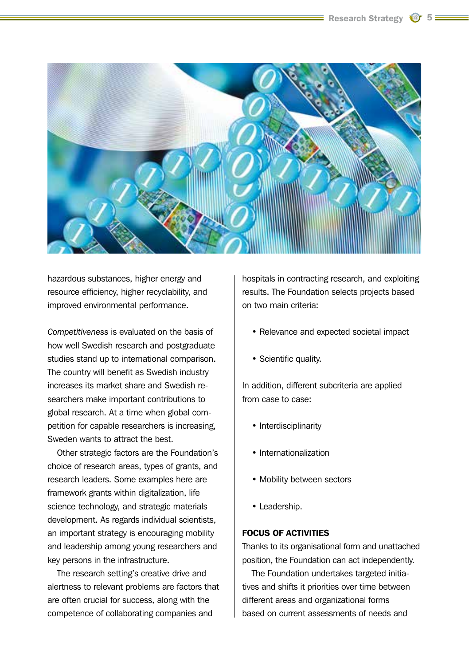

hazardous substances, higher energy and resource efficiency, higher recyclability, and improved environmental performance.

*Competitiveness* is evaluated on the basis of how well Swedish research and postgraduate studies stand up to international comparison. The country will benefit as Swedish industry increases its market share and Swedish researchers make important contributions to global research. At a time when global competition for capable researchers is increasing, Sweden wants to attract the best.

Other strategic factors are the Foundation's choice of research areas, types of grants, and research leaders. Some examples here are framework grants within digitalization, life science technology, and strategic materials development. As regards individual scientists, an important strategy is encouraging mobility and leadership among young researchers and key persons in the infrastructure.

The research setting's creative drive and alertness to relevant problems are factors that are often crucial for success, along with the competence of collaborating companies and

hospitals in contracting research, and exploiting results. The Foundation selects projects based on two main criteria:

- Relevance and expected societal impact
- Scientific quality.

In addition, different subcriteria are applied from case to case:

- Interdisciplinarity
- Internationalization
- Mobility between sectors
- Leadership.

## FOCUS OF ACTIVITIES

Thanks to its organisational form and unattached position, the Foundation can act independently.

The Foundation undertakes targeted initiatives and shifts it priorities over time between different areas and organizational forms based on current assessments of needs and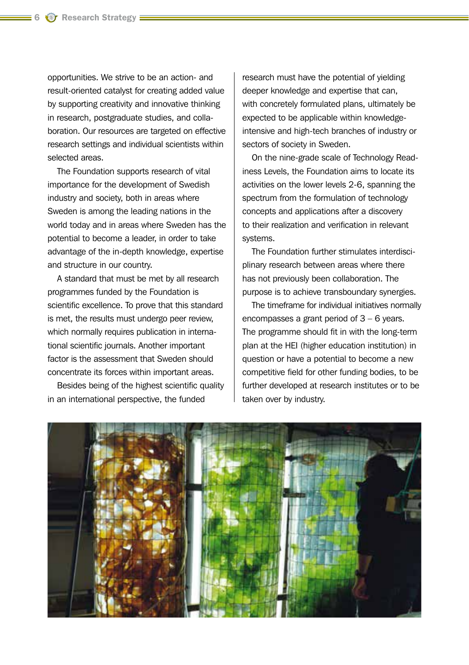opportunities. We strive to be an action- and result-oriented catalyst for creating added value by supporting creativity and innovative thinking in research, postgraduate studies, and collaboration. Our resources are targeted on effective research settings and individual scientists within selected areas.

The Foundation supports research of vital importance for the development of Swedish industry and society, both in areas where Sweden is among the leading nations in the world today and in areas where Sweden has the potential to become a leader, in order to take advantage of the in-depth knowledge, expertise and structure in our country.

A standard that must be met by all research programmes funded by the Foundation is scientific excellence. To prove that this standard is met, the results must undergo peer review, which normally requires publication in international scientific journals. Another important factor is the assessment that Sweden should concentrate its forces within important areas.

Besides being of the highest scientific quality in an international perspective, the funded

research must have the potential of yielding deeper knowledge and expertise that can, with concretely formulated plans, ultimately be expected to be applicable within knowledgeintensive and high-tech branches of industry or sectors of society in Sweden.

On the nine-grade scale of Technology Readiness Levels, the Foundation aims to locate its activities on the lower levels 2-6, spanning the spectrum from the formulation of technology concepts and applications after a discovery to their realization and verification in relevant systems.

The Foundation further stimulates interdisciplinary research between areas where there has not previously been collaboration. The purpose is to achieve transboundary synergies.

The timeframe for individual initiatives normally encompasses a grant period of 3 – 6 years. The programme should fit in with the long-term plan at the HEI (higher education institution) in question or have a potential to become a new competitive field for other funding bodies, to be further developed at research institutes or to be taken over by industry.

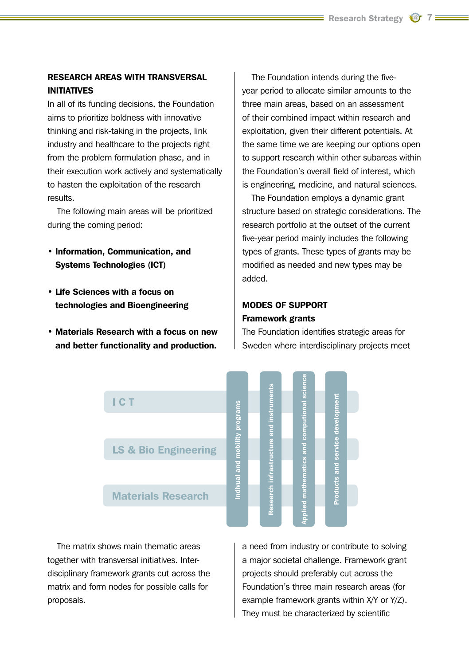## RESEARCH AREAS WITH TRANSVERSAL INITIATIVES

In all of its funding decisions, the Foundation aims to prioritize boldness with innovative thinking and risk-taking in the projects, link industry and healthcare to the projects right from the problem formulation phase, and in their execution work actively and systematically to hasten the exploitation of the research results.

The following main areas will be prioritized during the coming period:

- Information, Communication, and Systems Technologies (ICT)
- Life Sciences with a focus on technologies and Bioengineering
- Materials Research with a focus on new and better functionality and production.

The Foundation intends during the fiveyear period to allocate similar amounts to the three main areas, based on an assessment of their combined impact within research and exploitation, given their different potentials. At the same time we are keeping our options open to support research within other subareas within the Foundation's overall field of interest, which is engineering, medicine, and natural sciences.

The Foundation employs a dynamic grant structure based on strategic considerations. The research portfolio at the outset of the current five-year period mainly includes the following types of grants. These types of grants may be modified as needed and new types may be added.

## MODES OF SUPPORT Framework grants

The Foundation identifies strategic areas for Sweden where interdisciplinary projects meet



The matrix shows main thematic areas together with transversal initiatives. Interdisciplinary framework grants cut across the matrix and form nodes for possible calls for proposals.

a need from industry or contribute to solving a major societal challenge. Framework grant projects should preferably cut across the Foundation's three main research areas (for example framework grants within X/Y or Y/Z). They must be characterized by scientific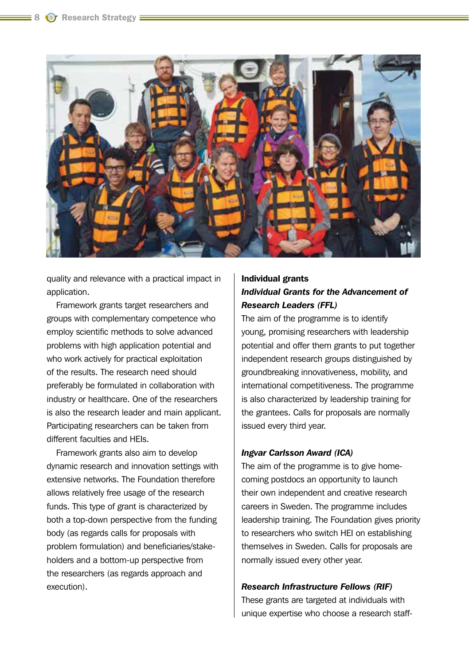

quality and relevance with a practical impact in application.

Framework grants target researchers and groups with complementary competence who employ scientific methods to solve advanced problems with high application potential and who work actively for practical exploitation of the results. The research need should preferably be formulated in collaboration with industry or healthcare. One of the researchers is also the research leader and main applicant. Participating researchers can be taken from different faculties and HEIs.

Framework grants also aim to develop dynamic research and innovation settings with extensive networks. The Foundation therefore allows relatively free usage of the research funds. This type of grant is characterized by both a top-down perspective from the funding body (as regards calls for proposals with problem formulation) and beneficiaries/stakeholders and a bottom-up perspective from the researchers (as regards approach and execution).

## Individual grants *Individual Grants for the Advancement of Research Leaders (FFL)*

The aim of the programme is to identify young, promising researchers with leadership potential and offer them grants to put together independent research groups distinguished by groundbreaking innovativeness, mobility, and international competitiveness. The programme is also characterized by leadership training for the grantees. Calls for proposals are normally issued every third year.

## *Ingvar Carlsson Award (ICA)*

The aim of the programme is to give homecoming postdocs an opportunity to launch their own independent and creative research careers in Sweden. The programme includes leadership training. The Foundation gives priority to researchers who switch HEI on establishing themselves in Sweden. Calls for proposals are normally issued every other year.

## *Research Infrastructure Fellows (RIF)*

These grants are targeted at individuals with unique expertise who choose a research staff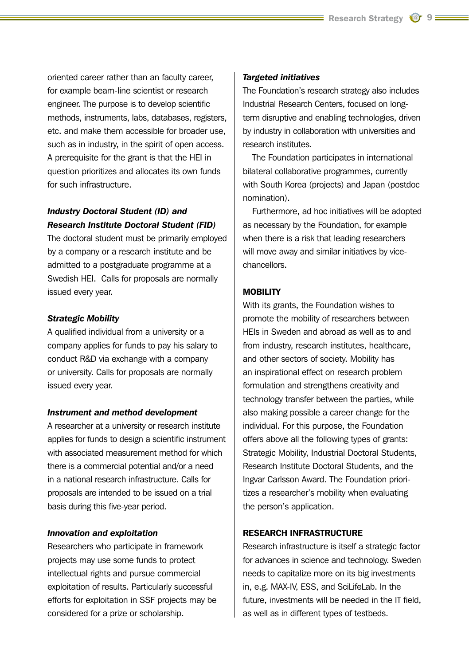oriented career rather than an faculty career, for example beam-line scientist or research engineer. The purpose is to develop scientific methods, instruments, labs, databases, registers, etc. and make them accessible for broader use, such as in industry, in the spirit of open access. A prerequisite for the grant is that the HEI in question prioritizes and allocates its own funds for such infrastructure.

## *Industry Doctoral Student (ID) and Research Institute Doctoral Student (FID)*

The doctoral student must be primarily employed by a company or a research institute and be admitted to a postgraduate programme at a Swedish HEI. Calls for proposals are normally issued every year.

#### *Strategic Mobility*

A qualified individual from a university or a company applies for funds to pay his salary to conduct R&D via exchange with a company or university. Calls for proposals are normally issued every year.

#### *Instrument and method development*

A researcher at a university or research institute applies for funds to design a scientific instrument with associated measurement method for which there is a commercial potential and/or a need in a national research infrastructure. Calls for proposals are intended to be issued on a trial basis during this five-year period.

## *Innovation and exploitation*

Researchers who participate in framework projects may use some funds to protect intellectual rights and pursue commercial exploitation of results. Particularly successful efforts for exploitation in SSF projects may be considered for a prize or scholarship.

#### *Targeted initiatives*

The Foundation's research strategy also includes Industrial Research Centers, focused on longterm disruptive and enabling technologies, driven by industry in collaboration with universities and research institutes.

The Foundation participates in international bilateral collaborative programmes, currently with South Korea (projects) and Japan (postdoc nomination).

Furthermore, ad hoc initiatives will be adopted as necessary by the Foundation, for example when there is a risk that leading researchers will move away and similar initiatives by vicechancellors.

## MOBILITY

With its grants, the Foundation wishes to promote the mobility of researchers between HEIs in Sweden and abroad as well as to and from industry, research institutes, healthcare, and other sectors of society. Mobility has an inspirational effect on research problem formulation and strengthens creativity and technology transfer between the parties, while also making possible a career change for the individual. For this purpose, the Foundation offers above all the following types of grants: Strategic Mobility, Industrial Doctoral Students, Research Institute Doctoral Students, and the Ingvar Carlsson Award. The Foundation prioritizes a researcher's mobility when evaluating the person's application.

## RESEARCH INFRASTRUCTURE

Research infrastructure is itself a strategic factor for advances in science and technology. Sweden needs to capitalize more on its big investments in, e.g. MAX-IV, ESS, and SciLifeLab. In the future, investments will be needed in the IT field, as well as in different types of testbeds.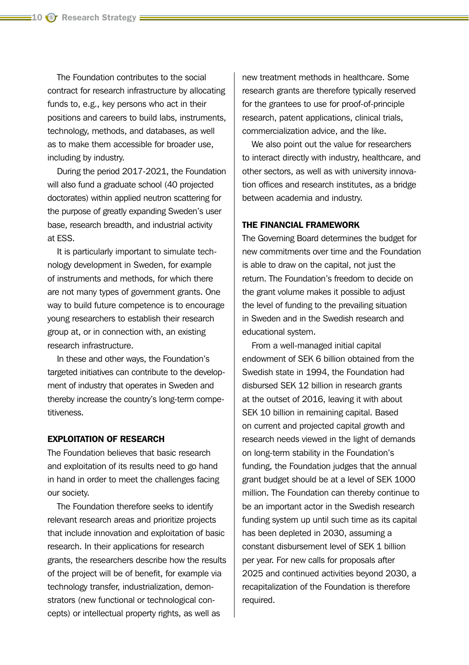The Foundation contributes to the social contract for research infrastructure by allocating funds to, e.g., key persons who act in their positions and careers to build labs, instruments, technology, methods, and databases, as well as to make them accessible for broader use, including by industry.

During the period 2017-2021, the Foundation will also fund a graduate school (40 projected doctorates) within applied neutron scattering for the purpose of greatly expanding Sweden's user base, research breadth, and industrial activity at ESS.

It is particularly important to simulate technology development in Sweden, for example of instruments and methods, for which there are not many types of government grants. One way to build future competence is to encourage young researchers to establish their research group at, or in connection with, an existing research infrastructure.

In these and other ways, the Foundation's targeted initiatives can contribute to the development of industry that operates in Sweden and thereby increase the country's long-term competitiveness.

#### EXPLOITATION OF RESEARCH

The Foundation believes that basic research and exploitation of its results need to go hand in hand in order to meet the challenges facing our society.

The Foundation therefore seeks to identify relevant research areas and prioritize projects that include innovation and exploitation of basic research. In their applications for research grants, the researchers describe how the results of the project will be of benefit, for example via technology transfer, industrialization, demonstrators (new functional or technological concepts) or intellectual property rights, as well as

new treatment methods in healthcare. Some research grants are therefore typically reserved for the grantees to use for proof-of-principle research, patent applications, clinical trials, commercialization advice, and the like.

We also point out the value for researchers to interact directly with industry, healthcare, and other sectors, as well as with university innovation offices and research institutes, as a bridge between academia and industry.

## THE FINANCIAL FRAMEWORK

The Governing Board determines the budget for new commitments over time and the Foundation is able to draw on the capital, not just the return. The Foundation's freedom to decide on the grant volume makes it possible to adjust the level of funding to the prevailing situation in Sweden and in the Swedish research and educational system.

From a well-managed initial capital endowment of SEK 6 billion obtained from the Swedish state in 1994, the Foundation had disbursed SEK 12 billion in research grants at the outset of 2016, leaving it with about SEK 10 billion in remaining capital. Based on current and projected capital growth and research needs viewed in the light of demands on long-term stability in the Foundation's funding, the Foundation judges that the annual grant budget should be at a level of SEK 1000 million. The Foundation can thereby continue to be an important actor in the Swedish research funding system up until such time as its capital has been depleted in 2030, assuming a constant disbursement level of SEK 1 billion per year. For new calls for proposals after 2025 and continued activities beyond 2030, a recapitalization of the Foundation is therefore required.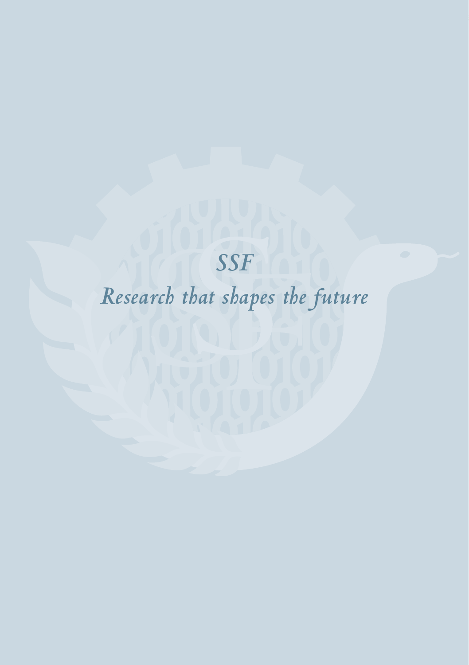# *SSF Research that shapes the future*